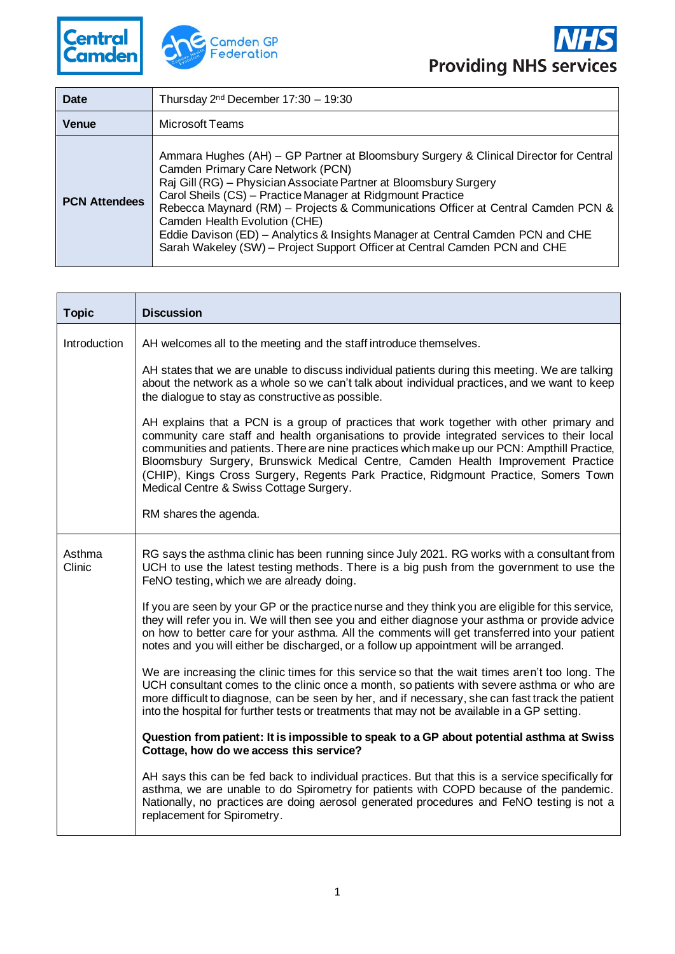



| Date                 | Thursday $2nd$ December 17:30 - 19:30                                                                                                                                                                                                                                                                                                                                                                                                                                                                                                               |
|----------------------|-----------------------------------------------------------------------------------------------------------------------------------------------------------------------------------------------------------------------------------------------------------------------------------------------------------------------------------------------------------------------------------------------------------------------------------------------------------------------------------------------------------------------------------------------------|
| <b>Venue</b>         | Microsoft Teams                                                                                                                                                                                                                                                                                                                                                                                                                                                                                                                                     |
| <b>PCN Attendees</b> | Ammara Hughes (AH) – GP Partner at Bloomsbury Surgery & Clinical Director for Central<br>Camden Primary Care Network (PCN)<br>Raj Gill (RG) - Physician Associate Partner at Bloomsbury Surgery<br>Carol Sheils (CS) - Practice Manager at Ridgmount Practice<br>Rebecca Maynard (RM) – Projects & Communications Officer at Central Camden PCN &<br>Camden Health Evolution (CHE)<br>Eddie Davison (ED) - Analytics & Insights Manager at Central Camden PCN and CHE<br>Sarah Wakeley (SW) – Project Support Officer at Central Camden PCN and CHE |

| <b>Topic</b>     | <b>Discussion</b>                                                                                                                                                                                                                                                                                                                                                                                                                                                                                             |
|------------------|---------------------------------------------------------------------------------------------------------------------------------------------------------------------------------------------------------------------------------------------------------------------------------------------------------------------------------------------------------------------------------------------------------------------------------------------------------------------------------------------------------------|
| Introduction     | AH welcomes all to the meeting and the staff introduce themselves.                                                                                                                                                                                                                                                                                                                                                                                                                                            |
|                  | AH states that we are unable to discuss individual patients during this meeting. We are talking<br>about the network as a whole so we can't talk about individual practices, and we want to keep<br>the dialogue to stay as constructive as possible.                                                                                                                                                                                                                                                         |
|                  | AH explains that a PCN is a group of practices that work together with other primary and<br>community care staff and health organisations to provide integrated services to their local<br>communities and patients. There are nine practices which make up our PCN: Ampthill Practice,<br>Bloomsbury Surgery, Brunswick Medical Centre, Camden Health Improvement Practice<br>(CHIP), Kings Cross Surgery, Regents Park Practice, Ridgmount Practice, Somers Town<br>Medical Centre & Swiss Cottage Surgery. |
|                  | RM shares the agenda.                                                                                                                                                                                                                                                                                                                                                                                                                                                                                         |
| Asthma<br>Clinic | RG says the asthma clinic has been running since July 2021. RG works with a consultant from<br>UCH to use the latest testing methods. There is a big push from the government to use the<br>FeNO testing, which we are already doing.                                                                                                                                                                                                                                                                         |
|                  | If you are seen by your GP or the practice nurse and they think you are eligible for this service,<br>they will refer you in. We will then see you and either diagnose your asthma or provide advice<br>on how to better care for your asthma. All the comments will get transferred into your patient<br>notes and you will either be discharged, or a follow up appointment will be arranged.                                                                                                               |
|                  | We are increasing the clinic times for this service so that the wait times aren't too long. The<br>UCH consultant comes to the clinic once a month, so patients with severe asthma or who are<br>more difficult to diagnose, can be seen by her, and if necessary, she can fast track the patient<br>into the hospital for further tests or treatments that may not be available in a GP setting.                                                                                                             |
|                  | Question from patient: It is impossible to speak to a GP about potential asthma at Swiss<br>Cottage, how do we access this service?                                                                                                                                                                                                                                                                                                                                                                           |
|                  | AH says this can be fed back to individual practices. But that this is a service specifically for<br>asthma, we are unable to do Spirometry for patients with COPD because of the pandemic.<br>Nationally, no practices are doing aerosol generated procedures and FeNO testing is not a<br>replacement for Spirometry.                                                                                                                                                                                       |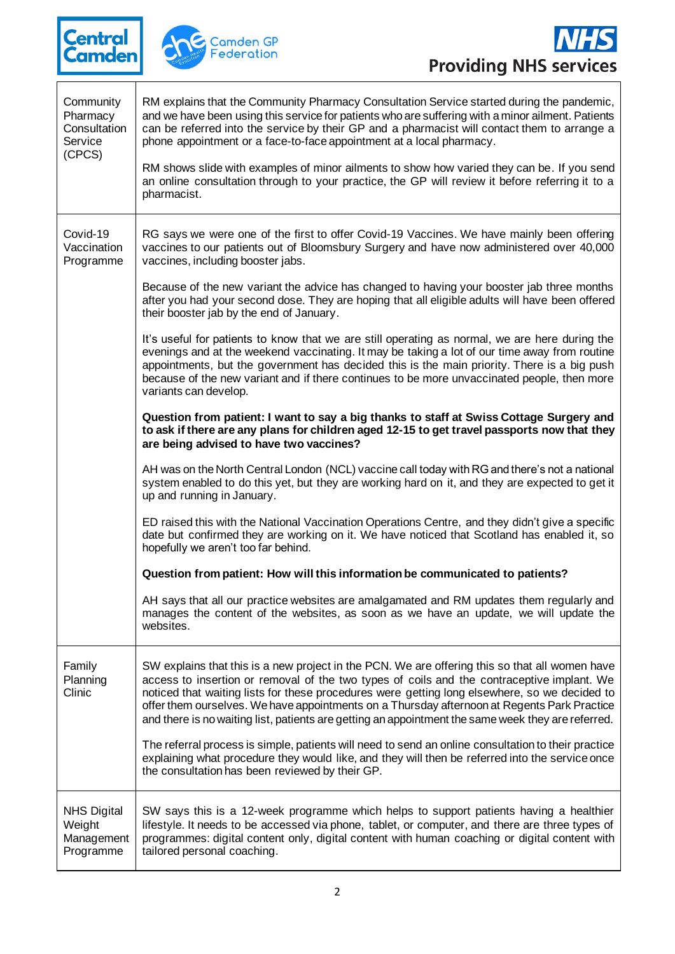





 $\overline{\phantom{a}}$ 

| Community<br>Pharmacy<br>Consultation<br>Service<br>(CPCS) | RM explains that the Community Pharmacy Consultation Service started during the pandemic,<br>and we have been using this service for patients who are suffering with a minor ailment. Patients<br>can be referred into the service by their GP and a pharmacist will contact them to arrange a<br>phone appointment or a face-to-face appointment at a local pharmacy.<br>RM shows slide with examples of minor ailments to show how varied they can be. If you send<br>an online consultation through to your practice, the GP will review it before referring it to a<br>pharmacist.                    |
|------------------------------------------------------------|-----------------------------------------------------------------------------------------------------------------------------------------------------------------------------------------------------------------------------------------------------------------------------------------------------------------------------------------------------------------------------------------------------------------------------------------------------------------------------------------------------------------------------------------------------------------------------------------------------------|
| Covid-19<br>Vaccination<br>Programme                       | RG says we were one of the first to offer Covid-19 Vaccines. We have mainly been offering<br>vaccines to our patients out of Bloomsbury Surgery and have now administered over 40,000<br>vaccines, including booster jabs.                                                                                                                                                                                                                                                                                                                                                                                |
|                                                            | Because of the new variant the advice has changed to having your booster jab three months<br>after you had your second dose. They are hoping that all eligible adults will have been offered<br>their booster jab by the end of January.                                                                                                                                                                                                                                                                                                                                                                  |
|                                                            | It's useful for patients to know that we are still operating as normal, we are here during the<br>evenings and at the weekend vaccinating. It may be taking a lot of our time away from routine<br>appointments, but the government has decided this is the main priority. There is a big push<br>because of the new variant and if there continues to be more unvaccinated people, then more<br>variants can develop.                                                                                                                                                                                    |
|                                                            | Question from patient: I want to say a big thanks to staff at Swiss Cottage Surgery and<br>to ask if there are any plans for children aged 12-15 to get travel passports now that they<br>are being advised to have two vaccines?                                                                                                                                                                                                                                                                                                                                                                         |
|                                                            | AH was on the North Central London (NCL) vaccine call today with RG and there's not a national<br>system enabled to do this yet, but they are working hard on it, and they are expected to get it<br>up and running in January.                                                                                                                                                                                                                                                                                                                                                                           |
|                                                            | ED raised this with the National Vaccination Operations Centre, and they didn't give a specific<br>date but confirmed they are working on it. We have noticed that Scotland has enabled it, so<br>hopefully we aren't too far behind.                                                                                                                                                                                                                                                                                                                                                                     |
|                                                            | Question from patient: How will this information be communicated to patients?                                                                                                                                                                                                                                                                                                                                                                                                                                                                                                                             |
|                                                            | AH says that all our practice websites are amalgamated and RM updates them regularly and<br>manages the content of the websites, as soon as we have an update, we will update the<br>websites.                                                                                                                                                                                                                                                                                                                                                                                                            |
| Family<br>Planning<br>Clinic                               | SW explains that this is a new project in the PCN. We are offering this so that all women have<br>access to insertion or removal of the two types of coils and the contraceptive implant. We<br>noticed that waiting lists for these procedures were getting long elsewhere, so we decided to<br>offer them ourselves. We have appointments on a Thursday afternoon at Regents Park Practice<br>and there is no waiting list, patients are getting an appointment the same week they are referred.<br>The referral process is simple, patients will need to send an online consultation to their practice |
|                                                            | explaining what procedure they would like, and they will then be referred into the service once<br>the consultation has been reviewed by their GP.                                                                                                                                                                                                                                                                                                                                                                                                                                                        |
| <b>NHS Digital</b><br>Weight<br>Management<br>Programme    | SW says this is a 12-week programme which helps to support patients having a healthier<br>lifestyle. It needs to be accessed via phone, tablet, or computer, and there are three types of<br>programmes: digital content only, digital content with human coaching or digital content with<br>tailored personal coaching.                                                                                                                                                                                                                                                                                 |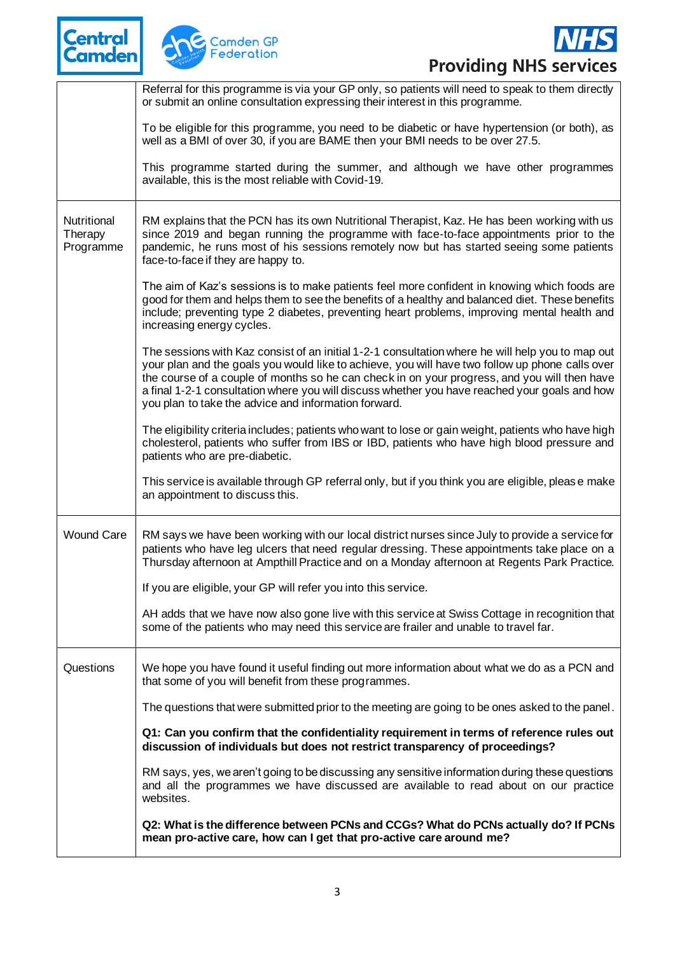





|                                     | Referral for this programme is via your GP only, so patients will need to speak to them directly<br>or submit an online consultation expressing their interest in this programme.                                                                                                                                                                                                                                                                            |
|-------------------------------------|--------------------------------------------------------------------------------------------------------------------------------------------------------------------------------------------------------------------------------------------------------------------------------------------------------------------------------------------------------------------------------------------------------------------------------------------------------------|
|                                     | To be eligible for this programme, you need to be diabetic or have hypertension (or both), as<br>well as a BMI of over 30, if you are BAME then your BMI needs to be over 27.5.                                                                                                                                                                                                                                                                              |
|                                     | This programme started during the summer, and although we have other programmes<br>available, this is the most reliable with Covid-19.                                                                                                                                                                                                                                                                                                                       |
| Nutritional<br>Therapy<br>Programme | RM explains that the PCN has its own Nutritional Therapist, Kaz. He has been working with us<br>since 2019 and began running the programme with face-to-face appointments prior to the<br>pandemic, he runs most of his sessions remotely now but has started seeing some patients<br>face-to-face if they are happy to.                                                                                                                                     |
|                                     | The aim of Kaz's sessions is to make patients feel more confident in knowing which foods are<br>good for them and helps them to see the benefits of a healthy and balanced diet. These benefits<br>include; preventing type 2 diabetes, preventing heart problems, improving mental health and<br>increasing energy cycles.                                                                                                                                  |
|                                     | The sessions with Kaz consist of an initial 1-2-1 consultation where he will help you to map out<br>your plan and the goals you would like to achieve, you will have two follow up phone calls over<br>the course of a couple of months so he can check in on your progress, and you will then have<br>a final 1-2-1 consultation where you will discuss whether you have reached your goals and how<br>you plan to take the advice and information forward. |
|                                     | The eligibility criteria includes; patients who want to lose or gain weight, patients who have high<br>cholesterol, patients who suffer from IBS or IBD, patients who have high blood pressure and<br>patients who are pre-diabetic.                                                                                                                                                                                                                         |
|                                     | This service is available through GP referral only, but if you think you are eligible, please make<br>an appointment to discuss this.                                                                                                                                                                                                                                                                                                                        |
| <b>Wound Care</b>                   | RM says we have been working with our local district nurses since July to provide a service for<br>patients who have leg ulcers that need regular dressing. These appointments take place on a<br>Thursday afternoon at Ampthill Practice and on a Monday afternoon at Regents Park Practice.                                                                                                                                                                |
|                                     | If you are eligible, your GP will refer you into this service.                                                                                                                                                                                                                                                                                                                                                                                               |
|                                     | AH adds that we have now also gone live with this service at Swiss Cottage in recognition that<br>some of the patients who may need this service are frailer and unable to travel far.                                                                                                                                                                                                                                                                       |
| Questions                           | We hope you have found it useful finding out more information about what we do as a PCN and<br>that some of you will benefit from these programmes.                                                                                                                                                                                                                                                                                                          |
|                                     | The questions that were submitted prior to the meeting are going to be ones asked to the panel.                                                                                                                                                                                                                                                                                                                                                              |
|                                     | Q1: Can you confirm that the confidentiality requirement in terms of reference rules out<br>discussion of individuals but does not restrict transparency of proceedings?                                                                                                                                                                                                                                                                                     |
|                                     | RM says, yes, we aren't going to be discussing any sensitive information during these questions<br>and all the programmes we have discussed are available to read about on our practice<br>websites.                                                                                                                                                                                                                                                         |
|                                     | Q2: What is the difference between PCNs and CCGs? What do PCNs actually do? If PCNs<br>mean pro-active care, how can I get that pro-active care around me?                                                                                                                                                                                                                                                                                                   |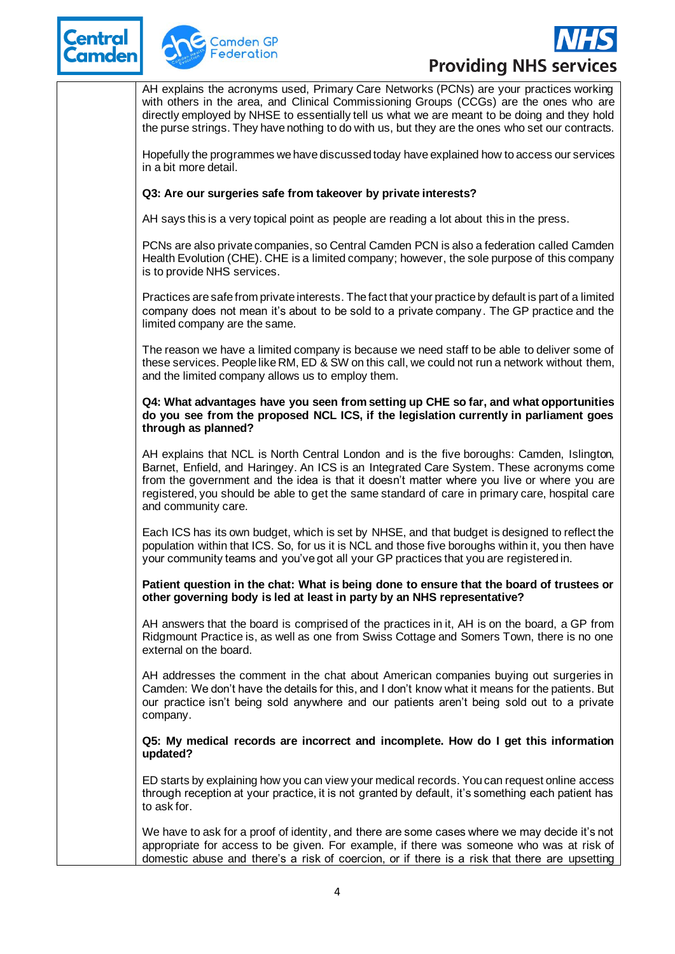





AH explains the acronyms used, Primary Care Networks (PCNs) are your practices working with others in the area, and Clinical Commissioning Groups (CCGs) are the ones who are directly employed by NHSE to essentially tell us what we are meant to be doing and they hold the purse strings. They have nothing to do with us, but they are the ones who set our contracts.

Hopefully the programmes we have discussed today have explained how to access our services in a bit more detail.

## **Q3: Are our surgeries safe from takeover by private interests?**

AH says this is a very topical point as people are reading a lot about this in the press.

PCNs are also private companies, so Central Camden PCN is also a federation called Camden Health Evolution (CHE). CHE is a limited company; however, the sole purpose of this company is to provide NHS services.

Practices are safe from private interests. The fact that your practice by default is part of a limited company does not mean it's about to be sold to a private company. The GP practice and the limited company are the same.

The reason we have a limited company is because we need staff to be able to deliver some of these services. People like RM, ED & SW on this call, we could not run a network without them, and the limited company allows us to employ them.

#### **Q4: What advantages have you seen from setting up CHE so far, and what opportunities do you see from the proposed NCL ICS, if the legislation currently in parliament goes through as planned?**

AH explains that NCL is North Central London and is the five boroughs: Camden, Islington, Barnet, Enfield, and Haringey. An ICS is an Integrated Care System. These acronyms come from the government and the idea is that it doesn't matter where you live or where you are registered, you should be able to get the same standard of care in primary care, hospital care and community care.

Each ICS has its own budget, which is set by NHSE, and that budget is designed to reflect the population within that ICS. So, for us it is NCL and those five boroughs within it, you then have your community teams and you've got all your GP practices that you are registered in.

#### **Patient question in the chat: What is being done to ensure that the board of trustees or other governing body is led at least in party by an NHS representative?**

AH answers that the board is comprised of the practices in it, AH is on the board, a GP from Ridgmount Practice is, as well as one from Swiss Cottage and Somers Town, there is no one external on the board.

AH addresses the comment in the chat about American companies buying out surgeries in Camden: We don't have the details for this, and I don't know what it means for the patients. But our practice isn't being sold anywhere and our patients aren't being sold out to a private company.

**Q5: My medical records are incorrect and incomplete. How do I get this information updated?**

ED starts by explaining how you can view your medical records. You can request online access through reception at your practice, it is not granted by default, it's something each patient has to ask for.

We have to ask for a proof of identity, and there are some cases where we may decide it's not appropriate for access to be given. For example, if there was someone who was at risk of domestic abuse and there's a risk of coercion, or if there is a risk that there are upsetting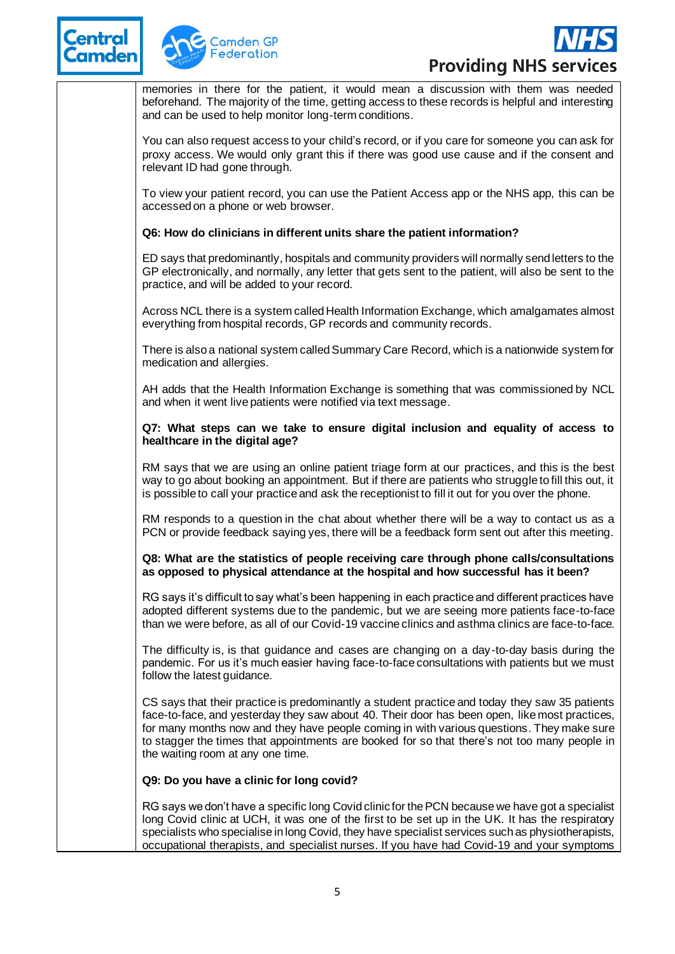





memories in there for the patient, it would mean a discussion with them was needed beforehand. The majority of the time, getting access to these records is helpful and interesting and can be used to help monitor long-term conditions.

You can also request access to your child's record, or if you care for someone you can ask for proxy access. We would only grant this if there was good use cause and if the consent and relevant ID had gone through.

To view your patient record, you can use the Patient Access app or the NHS app, this can be accessed on a phone or web browser.

# **Q6: How do clinicians in different units share the patient information?**

ED says that predominantly, hospitals and community providers will normally send letters to the GP electronically, and normally, any letter that gets sent to the patient, will also be sent to the practice, and will be added to your record.

Across NCL there is a system called Health Information Exchange, which amalgamates almost everything from hospital records, GP records and community records.

There is also a national system called Summary Care Record, which is a nationwide system for medication and allergies.

AH adds that the Health Information Exchange is something that was commissioned by NCL and when it went live patients were notified via text message.

## **Q7: What steps can we take to ensure digital inclusion and equality of access to healthcare in the digital age?**

RM says that we are using an online patient triage form at our practices, and this is the best way to go about booking an appointment. But if there are patients who struggle to fill this out, it is possible to call your practice and ask the receptionist to fill it out for you over the phone.

RM responds to a question in the chat about whether there will be a way to contact us as a PCN or provide feedback saying yes, there will be a feedback form sent out after this meeting.

## **Q8: What are the statistics of people receiving care through phone calls/consultations as opposed to physical attendance at the hospital and how successful has it been?**

RG says it's difficult to say what's been happening in each practice and different practices have adopted different systems due to the pandemic, but we are seeing more patients face-to-face than we were before, as all of our Covid-19 vaccine clinics and asthma clinics are face-to-face.

The difficulty is, is that guidance and cases are changing on a day-to-day basis during the pandemic. For us it's much easier having face-to-face consultations with patients but we must follow the latest guidance.

CS says that their practice is predominantly a student practice and today they saw 35 patients face-to-face, and yesterday they saw about 40. Their door has been open, like most practices, for many months now and they have people coming in with various questions. They make sure to stagger the times that appointments are booked for so that there's not too many people in the waiting room at any one time.

# **Q9: Do you have a clinic for long covid?**

RG says we don't have a specific long Covid clinic for the PCN because we have got a specialist long Covid clinic at UCH, it was one of the first to be set up in the UK. It has the respiratory specialists who specialise in long Covid, they have specialist services such as physiotherapists, occupational therapists, and specialist nurses. If you have had Covid-19 and your symptoms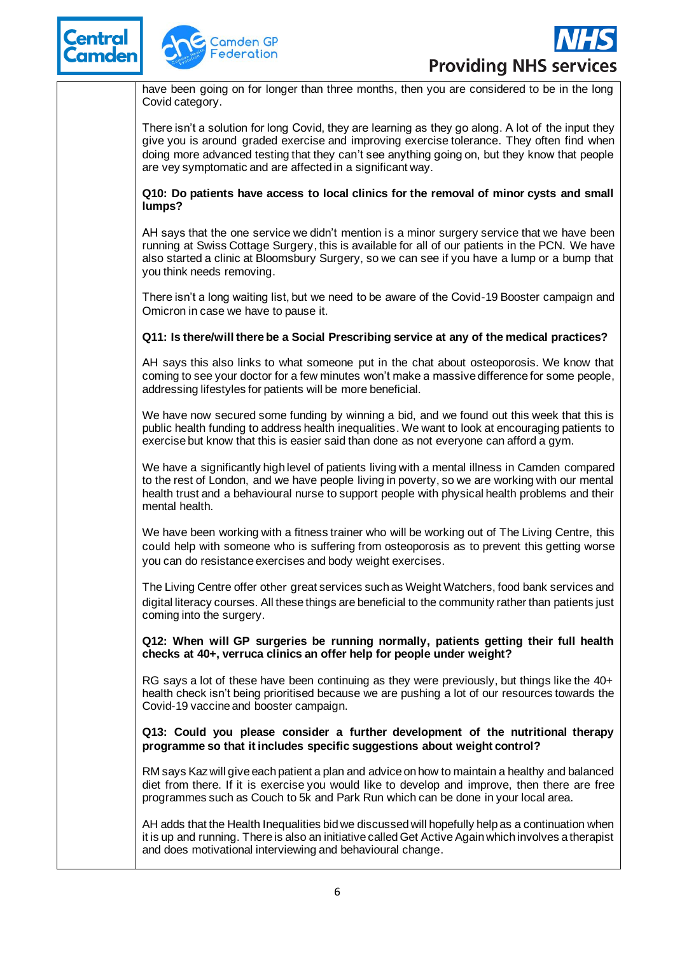





have been going on for longer than three months, then you are considered to be in the long Covid category.

There isn't a solution for long Covid, they are learning as they go along. A lot of the input they give you is around graded exercise and improving exercise tolerance. They often find when doing more advanced testing that they can't see anything going on, but they know that people are vey symptomatic and are affected in a significant way.

**Q10: Do patients have access to local clinics for the removal of minor cysts and small lumps?**

AH says that the one service we didn't mention is a minor surgery service that we have been running at Swiss Cottage Surgery, this is available for all of our patients in the PCN. We have also started a clinic at Bloomsbury Surgery, so we can see if you have a lump or a bump that you think needs removing.

There isn't a long waiting list, but we need to be aware of the Covid-19 Booster campaign and Omicron in case we have to pause it.

# **Q11: Is there/will there be a Social Prescribing service at any of the medical practices?**

AH says this also links to what someone put in the chat about osteoporosis. We know that coming to see your doctor for a few minutes won't make a massive difference for some people, addressing lifestyles for patients will be more beneficial.

We have now secured some funding by winning a bid, and we found out this week that this is public health funding to address health inequalities. We want to look at encouraging patients to exercise but know that this is easier said than done as not everyone can afford a gym.

We have a significantly high level of patients living with a mental illness in Camden compared to the rest of London, and we have people living in poverty, so we are working with our mental health trust and a behavioural nurse to support people with physical health problems and their mental health.

We have been working with a fitness trainer who will be working out of The Living Centre, this could help with someone who is suffering from osteoporosis as to prevent this getting worse you can do resistance exercises and body weight exercises.

The Living Centre offer other great services such as Weight Watchers, food bank services and digital literacy courses. All these things are beneficial to the community rather than patients just coming into the surgery.

**Q12: When will GP surgeries be running normally, patients getting their full health checks at 40+, verruca clinics an offer help for people under weight?**

RG says a lot of these have been continuing as they were previously, but things like the 40+ health check isn't being prioritised because we are pushing a lot of our resources towards the Covid-19 vaccine and booster campaign.

**Q13: Could you please consider a further development of the nutritional therapy programme so that it includes specific suggestions about weight control?**

RM says Kaz will give each patient a plan and advice on how to maintain a healthy and balanced diet from there. If it is exercise you would like to develop and improve, then there are free programmes such as Couch to 5k and Park Run which can be done in your local area.

AH adds that the Health Inequalities bid we discussed will hopefully help as a continuation when it is up and running. There is also an initiative called Get Active Again which involves a therapist and does motivational interviewing and behavioural change.